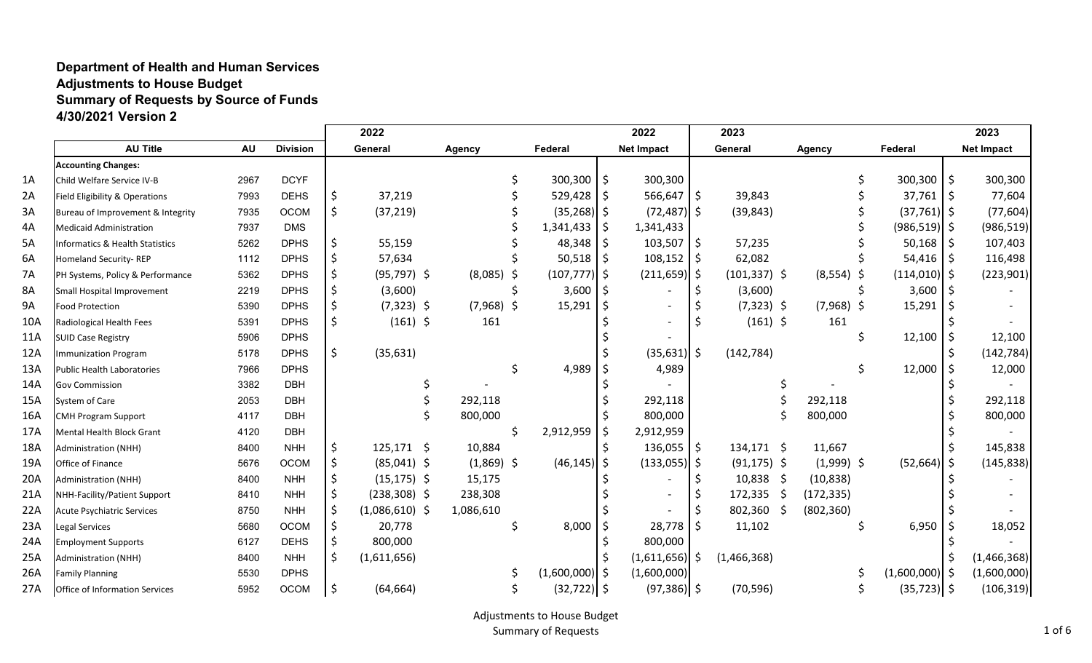## **Department of Health and Human Services Adjustments to House Budget Summary of Requests by Source of Funds 4/30/2021 Version 2**

|           |                                            |           |                 |    | 2022             |               |                |    |                  |    | 2022              |      | 2023            |                  |                  |    | 2023              |
|-----------|--------------------------------------------|-----------|-----------------|----|------------------|---------------|----------------|----|------------------|----|-------------------|------|-----------------|------------------|------------------|----|-------------------|
|           | <b>AU Title</b>                            | <b>AU</b> | <b>Division</b> |    | General          | <b>Agency</b> |                |    | Federal          |    | <b>Net Impact</b> |      | General         | <b>Agency</b>    | Federal          |    | <b>Net Impact</b> |
|           | <b>Accounting Changes:</b>                 |           |                 |    |                  |               |                |    |                  |    |                   |      |                 |                  |                  |    |                   |
| 1A        | Child Welfare Service IV-B                 | 2967      | <b>DCYF</b>     |    |                  |               |                |    | 300,300          | \$ | 300,300           |      |                 |                  | 300,300          | Ŝ. | 300,300           |
| 2A        | Field Eligibility & Operations             | 7993      | <b>DEHS</b>     | \$ | 37,219           |               |                |    | 529,428          | Ś  | 566,647           | I \$ | 39,843          |                  | $37,761$   \$    |    | 77,604            |
| 3A        | Bureau of Improvement & Integrity          | 7935      | OCOM            | \$ | (37, 219)        |               |                |    | (35, 268)        | \$ | $(72, 487)$ \$    |      | (39, 843)       |                  | $(37,761)$ \$    |    | (77, 604)         |
| 4A        | <b>Medicaid Administration</b>             | 7937      | <b>DMS</b>      |    |                  |               |                |    | 1,341,433        | Ś  | 1,341,433         |      |                 |                  | $(986, 519)$ \$  |    | (986, 519)        |
| 5A        | <b>Informatics &amp; Health Statistics</b> | 5262      | <b>DPHS</b>     | \$ | 55,159           |               |                |    | 48,348           |    | $103,507$ \$      |      | 57,235          |                  | $50,168$   \$    |    | 107,403           |
| 6A        | Homeland Security-REP                      | 1112      | <b>DPHS</b>     |    | 57,634           |               |                |    | 50,518           | \$ | $108,152$ \$      |      | 62,082          |                  | $54,416$ \$      |    | 116,498           |
| 7A        | PH Systems, Policy & Performance           | 5362      | <b>DPHS</b>     |    | $(95, 797)$ \$   |               | (8,085)<br>- S |    | $(107, 777)$ \$  |    | $(211, 659)$ \$   |      | $(101, 337)$ \$ | $(8,554)$ \$     | $(114,010)$ \$   |    | (223, 901)        |
| 8A        | Small Hospital Improvement                 | 2219      | <b>DPHS</b>     |    | (3,600)          |               |                |    | 3,600            | Ś  |                   |      | (3,600)         |                  | 3,600            |    |                   |
| <b>9A</b> | <b>Food Protection</b>                     | 5390      | <b>DPHS</b>     |    | $(7,323)$ \$     |               | $(7,968)$ \$   |    | 15,291           |    |                   |      | $(7,323)$ \$    | $(7,968)$ \$     | 15,291           |    |                   |
| 10A       | Radiological Health Fees                   | 5391      | <b>DPHS</b>     | \$ | $(161)$ \$       |               | 161            |    |                  |    |                   |      | $(161)$ \$      | 161              |                  |    |                   |
| 11A       | <b>SUID Case Registry</b>                  | 5906      | <b>DPHS</b>     |    |                  |               |                |    |                  |    |                   |      |                 |                  | 12,100           |    | 12,100            |
| 12A       | <b>Immunization Program</b>                | 5178      | <b>DPHS</b>     | \$ | (35, 631)        |               |                |    |                  |    | $(35,631)$ \$     |      | (142, 784)      |                  |                  |    | (142, 784)        |
| 13A       | <b>Public Health Laboratories</b>          | 7966      | <b>DPHS</b>     |    |                  |               |                |    | 4,989            |    | 4,989             |      |                 |                  | 12,000           |    | 12,000            |
| 14A       | <b>Gov Commission</b>                      | 3382      | <b>DBH</b>      |    |                  |               |                |    |                  |    |                   |      |                 |                  |                  |    |                   |
| 15A       | System of Care                             | 2053      | <b>DBH</b>      |    |                  |               | 292,118        |    |                  |    | 292,118           |      |                 | 292,118          |                  |    | 292,118           |
| 16A       | <b>CMH Program Support</b>                 | 4117      | <b>DBH</b>      |    |                  |               | 800,000        |    |                  |    | 800,000           |      |                 | 800,000          |                  |    | 800,000           |
| 17A       | Mental Health Block Grant                  | 4120      | <b>DBH</b>      |    |                  |               |                | Ś. | 2,912,959        | \$ | 2,912,959         |      |                 |                  |                  |    |                   |
| 18A       | <b>Administration (NHH)</b>                | 8400      | <b>NHH</b>      | \$ | $125,171$ \$     |               | 10,884         |    |                  |    | $136,055$   \$    |      | $134,171$ \$    | 11,667           |                  |    | 145,838           |
| 19A       | Office of Finance                          | 5676      | <b>OCOM</b>     | \$ | $(85,041)$ \$    |               | $(1,869)$ \$   |    | (46, 145)        | \$ | $(133,055)$ \$    |      | $(91, 175)$ \$  | $(1,999)$ \$     | (52,664)         |    | (145, 838)        |
| 20A       | <b>Administration (NHH)</b>                | 8400      | <b>NHH</b>      |    | $(15, 175)$ \$   |               | 15,175         |    |                  |    |                   |      | $10,838$ \$     | (10, 838)        |                  |    |                   |
| 21A       | NHH-Facility/Patient Support               | 8410      | <b>NHH</b>      |    | $(238, 308)$ \$  |               | 238,308        |    |                  |    |                   |      | 172,335         | (172, 335)<br>-S |                  |    |                   |
| 22A       | Acute Psychiatric Services                 | 8750      | <b>NHH</b>      |    | $(1,086,610)$ \$ | 1,086,610     |                |    |                  |    |                   |      | 802,360         | (802, 360)<br>S. |                  |    |                   |
| 23A       | <b>Legal Services</b>                      | 5680      | <b>OCOM</b>     | \$ | 20,778           |               |                |    | 8,000            |    | 28,778            | ۱S   | 11,102          |                  | 6,950            |    | 18,052            |
| 24A       | <b>Employment Supports</b>                 | 6127      | <b>DEHS</b>     |    | 800,000          |               |                |    |                  |    | 800,000           |      |                 |                  |                  |    |                   |
| 25A       | <b>Administration (NHH)</b>                | 8400      | <b>NHH</b>      | S  | (1,611,656)      |               |                |    |                  |    | $(1,611,656)$ \$  |      | (1,466,368)     |                  |                  |    | (1,466,368)       |
| 26A       | <b>Family Planning</b>                     | 5530      | <b>DPHS</b>     |    |                  |               |                |    | (1,600,000)   \$ |    | (1,600,000)       |      |                 |                  | $(1,600,000)$ \$ |    | (1,600,000)       |
| 27A       | Office of Information Services             | 5952      | <b>OCOM</b>     | \$ | (64, 664)        |               |                |    | $(32, 722)$ \$   |    | $(97,386)$ \$     |      | (70, 596)       |                  | $(35, 723)$ \$   |    | (106, 319)        |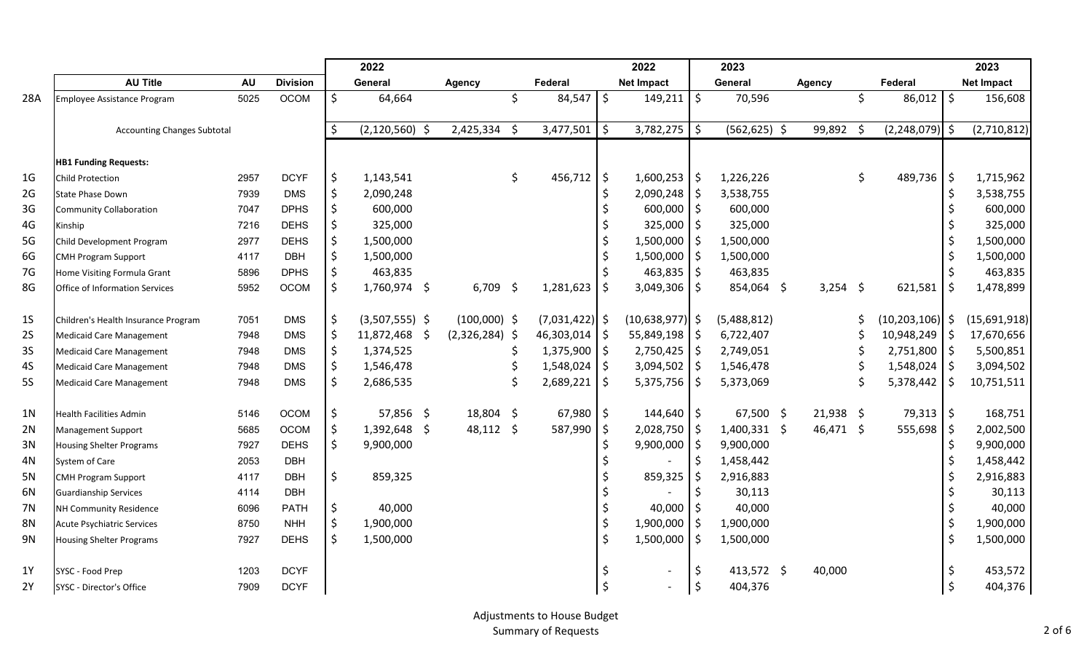|                |                                     |           |                 | 2022                     |                  |     |                  |            | 2022                     |         | 2023            |               |    |                     |                    | 2023              |
|----------------|-------------------------------------|-----------|-----------------|--------------------------|------------------|-----|------------------|------------|--------------------------|---------|-----------------|---------------|----|---------------------|--------------------|-------------------|
|                | <b>AU Title</b>                     | <b>AU</b> | <b>Division</b> | General                  | <b>Agency</b>    |     | Federal          |            | <b>Net Impact</b>        |         | General         | <b>Agency</b> |    | Federal             |                    | <b>Net Impact</b> |
| 28A            | Employee Assistance Program         | 5025      | <b>OCOM</b>     | \$<br>64,664             |                  | \$  | 84,547           | \$         | 149,211                  | \$      | 70,596          |               | \$ | 86,012              | $\ddot{\varsigma}$ | 156,608           |
|                |                                     |           |                 |                          |                  |     |                  |            |                          |         |                 |               |    |                     |                    |                   |
|                | <b>Accounting Changes Subtotal</b>  |           |                 | \$<br>$(2, 120, 560)$ \$ | $2,425,334$ \$   |     | 3,477,501        | -\$        | $3,782,275$ \$           |         | $(562, 625)$ \$ | 99,892        | Ŝ. | $(2,248,079)$ \$    |                    | (2,710,812)       |
|                |                                     |           |                 |                          |                  |     |                  |            |                          |         |                 |               |    |                     |                    |                   |
|                | <b>HB1 Funding Requests:</b>        |           |                 |                          |                  |     |                  |            |                          |         |                 |               |    |                     |                    |                   |
| 1 <sub>G</sub> | Child Protection                    | 2957      | <b>DCYF</b>     | \$<br>1,143,541          |                  | \$  | 456,712          | $\sqrt{5}$ | 1,600,253                | \$      | 1,226,226       |               | \$ | 489,736             | $\ddot{\phi}$      | 1,715,962         |
| 2G             | <b>State Phase Down</b>             | 7939      | <b>DMS</b>      | \$<br>2,090,248          |                  |     |                  | \$         | 2,090,248                | \$      | 3,538,755       |               |    |                     | $\ddot{\varsigma}$ | 3,538,755         |
| 3G             | <b>Community Collaboration</b>      | 7047      | <b>DPHS</b>     | \$<br>600,000            |                  |     |                  | \$         | 600,000                  | $\zeta$ | 600,000         |               |    |                     | \$                 | 600,000           |
| 4G             | Kinship                             | 7216      | <b>DEHS</b>     | \$<br>325,000            |                  |     |                  |            | 325,000                  | $\zeta$ | 325,000         |               |    |                     | $\zeta$            | 325,000           |
| 5G             | Child Development Program           | 2977      | <b>DEHS</b>     | \$<br>1,500,000          |                  |     |                  | Ś.         | 1,500,000                | \$      | 1,500,000       |               |    |                     | $\zeta$            | 1,500,000         |
| 6G             | <b>CMH Program Support</b>          | 4117      | <b>DBH</b>      | \$<br>1,500,000          |                  |     |                  | \$         | 1,500,000                | \$      | 1,500,000       |               |    |                     | \$                 | 1,500,000         |
| 7G             | Home Visiting Formula Grant         | 5896      | <b>DPHS</b>     | \$<br>463,835            |                  |     |                  |            | 463,835                  | \$      | 463,835         |               |    |                     |                    | 463,835           |
| 8G             | Office of Information Services      | 5952      | <b>OCOM</b>     | \$<br>1,760,974 \$       | $6,709$ \$       |     | 1,281,623        | \$         | $3,049,306$ \$           |         | 854,064 \$      | $3,254$ \$    |    | 621,581             | \$                 | 1,478,899         |
|                |                                     |           |                 |                          |                  |     |                  |            |                          |         |                 |               |    |                     |                    |                   |
| 1 <sub>S</sub> | Children's Health Insurance Program | 7051      | <b>DMS</b>      | \$<br>$(3,507,555)$ \$   | $(100,000)$ \$   |     | $(7,031,422)$ \$ |            | $(10,638,977)$ \$        |         | (5,488,812)     |               |    | $(10, 203, 106)$ \$ |                    | (15,691,918)      |
| <b>2S</b>      | <b>Medicaid Care Management</b>     | 7948      | <b>DMS</b>      | \$<br>11,872,468 \$      | $(2,326,284)$ \$ |     | 46,303,014       | -\$        | 55,849,198               | \$      | 6,722,407       |               |    | 10,948,249          | \$                 | 17,670,656        |
| <b>3S</b>      | <b>Medicaid Care Management</b>     | 7948      | <b>DMS</b>      | \$<br>1,374,525          |                  |     | 1,375,900        | \$         | 2,750,425                | l \$    | 2,749,051       |               |    | 2,751,800           | \$                 | 5,500,851         |
| 4S             | <b>Medicaid Care Management</b>     | 7948      | <b>DMS</b>      | \$<br>1,546,478          |                  | \$. | 1,548,024        | -\$        | 3,094,502                | \$      | 1,546,478       |               |    | 1,548,024           | \$                 | 3,094,502         |
| <b>5S</b>      | <b>Medicaid Care Management</b>     | 7948      | <b>DMS</b>      | \$<br>2,686,535          |                  | \$  | 2,689,221        | \$         | 5,375,756                | \$      | 5,373,069       |               |    | 5,378,442           | \$                 | 10,751,511        |
|                |                                     |           |                 |                          |                  |     |                  |            |                          |         |                 |               |    |                     |                    |                   |
| 1 <sub>N</sub> | <b>Health Facilities Admin</b>      | 5146      | <b>OCOM</b>     | \$<br>57,856 \$          | 18,804 \$        |     | 67,980           | -\$        | $144,640$ \$             |         | 67,500 \$       | $21,938$ \$   |    | 79,313              | $\ddot{\phi}$      | 168,751           |
| 2N             | Management Support                  | 5685      | <b>OCOM</b>     | \$<br>1,392,648 \$       | 48,112 \$        |     | 587,990          | -\$        | 2,028,750                | \$      | $1,400,331$ \$  | 46,471 \$     |    | 555,698             | \$                 | 2,002,500         |
| 3N             | <b>Housing Shelter Programs</b>     | 7927      | <b>DEHS</b>     | \$<br>9,900,000          |                  |     |                  | \$         | 9,900,000                | \$      | 9,900,000       |               |    |                     | $\zeta$            | 9,900,000         |
| 4N             | System of Care                      | 2053      | <b>DBH</b>      |                          |                  |     |                  | \$         |                          | \$      | 1,458,442       |               |    |                     | \$                 | 1,458,442         |
| 5N             | <b>CMH Program Support</b>          | 4117      | <b>DBH</b>      | \$<br>859,325            |                  |     |                  |            | 859,325                  | \$      | 2,916,883       |               |    |                     | \$                 | 2,916,883         |
| 6N             | <b>Guardianship Services</b>        | 4114      | <b>DBH</b>      |                          |                  |     |                  |            |                          |         | 30,113          |               |    |                     | $\varsigma$        | 30,113            |
| <b>7N</b>      | <b>NH Community Residence</b>       | 6096      | <b>PATH</b>     | \$<br>40,000             |                  |     |                  | \$         | 40,000                   | \$      | 40,000          |               |    |                     | \$                 | 40,000            |
| <b>8N</b>      | <b>Acute Psychiatric Services</b>   | 8750      | <b>NHH</b>      | \$<br>1,900,000          |                  |     |                  | \$         | 1,900,000                | \$      | 1,900,000       |               |    |                     | \$                 | 1,900,000         |
| 9N             | <b>Housing Shelter Programs</b>     | 7927      | <b>DEHS</b>     | \$<br>1,500,000          |                  |     |                  | \$         | 1,500,000                | \$      | 1,500,000       |               |    |                     | $\ddot{\phi}$      | 1,500,000         |
|                |                                     |           |                 |                          |                  |     |                  |            |                          |         |                 |               |    |                     |                    |                   |
| 1Y             | SYSC - Food Prep                    | 1203      | <b>DCYF</b>     |                          |                  |     |                  | \$         |                          | \$      | 413,572 \$      | 40,000        |    |                     | \$                 | 453,572           |
| 2Y             | SYSC - Director's Office            | 7909      | <b>DCYF</b>     |                          |                  |     |                  | \$         | $\overline{\phantom{a}}$ | $\zeta$ | 404,376         |               |    |                     | $\zeta$            | 404,376           |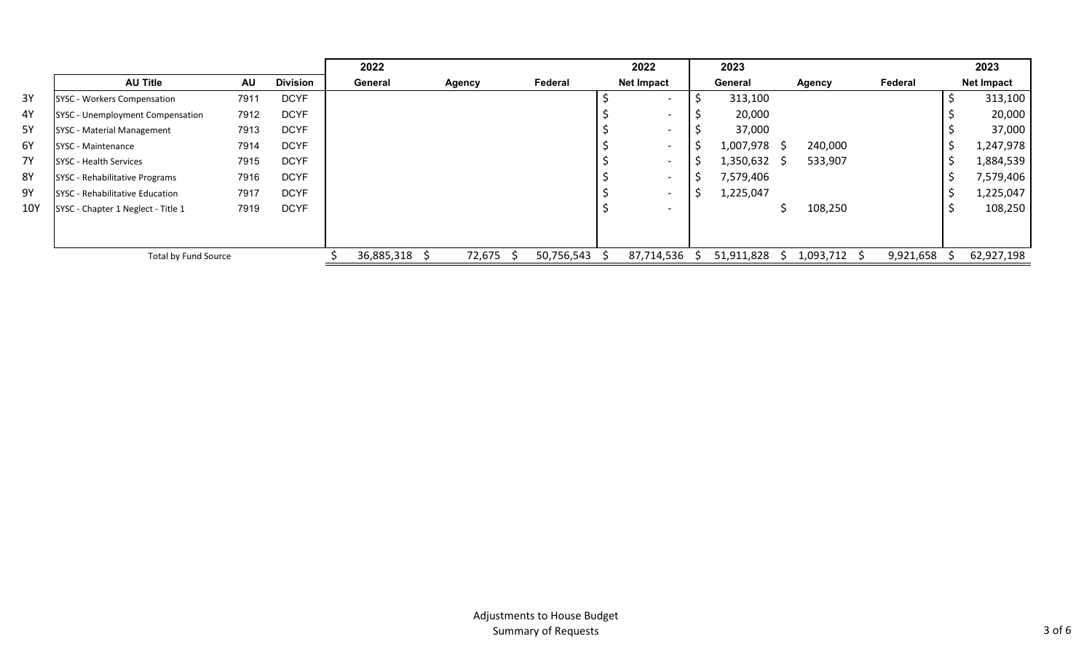|           |                                    |           |                 | 2022       |        |            | 2022                     | 2023       |              |           |           | 2023              |
|-----------|------------------------------------|-----------|-----------------|------------|--------|------------|--------------------------|------------|--------------|-----------|-----------|-------------------|
|           | <b>AU Title</b>                    | <b>AU</b> | <b>Division</b> | General    | Agency | Federal    | <b>Net Impact</b>        | General    |              | Agency    | Federal   | <b>Net Impact</b> |
| 3Y        | <b>SYSC - Workers Compensation</b> | 7911      | <b>DCYF</b>     |            |        |            | $\overline{\phantom{0}}$ | 313,100    |              |           |           | 313,100           |
| 4Y        | SYSC - Unemployment Compensation   | 7912      | <b>DCYF</b>     |            |        |            |                          | 20,000     |              |           |           | 20,000            |
| <b>5Y</b> | <b>SYSC - Material Management</b>  | 7913      | <b>DCYF</b>     |            |        |            |                          | 37,000     |              |           |           | 37,000            |
| 6Y        | SYSC - Maintenance                 | 7914      | <b>DCYF</b>     |            |        |            |                          | 1,007,978  | S            | 240,000   |           | 1,247,978         |
| <b>7Y</b> | <b>SYSC - Health Services</b>      | 7915      | <b>DCYF</b>     |            |        |            | $\overline{\phantom{0}}$ | 1,350,632  | <sub>S</sub> | 533,907   |           | 1,884,539         |
| <b>8Y</b> | SYSC - Rehabilitative Programs     | 7916      | <b>DCYF</b>     |            |        |            |                          | 7,579,406  |              |           |           | 7,579,406         |
| 9Υ        | SYSC - Rehabilitative Education    | 7917      | <b>DCYF</b>     |            |        |            | $\overline{\phantom{0}}$ | 1,225,047  |              |           |           | 1,225,047         |
| 10Y       | SYSC - Chapter 1 Neglect - Title 1 | 7919      | <b>DCYF</b>     |            |        |            | $\overline{\phantom{0}}$ |            |              | 108,250   |           | 108,250           |
|           |                                    |           |                 |            |        |            |                          |            |              |           |           |                   |
|           |                                    |           |                 |            |        |            |                          |            |              |           |           |                   |
|           | Total by Fund Source               |           |                 | 36,885,318 | 72,675 | 50,756,543 | 87,714,536               | 51,911,828 | S.           | 1,093,712 | 9,921,658 | 62,927,198        |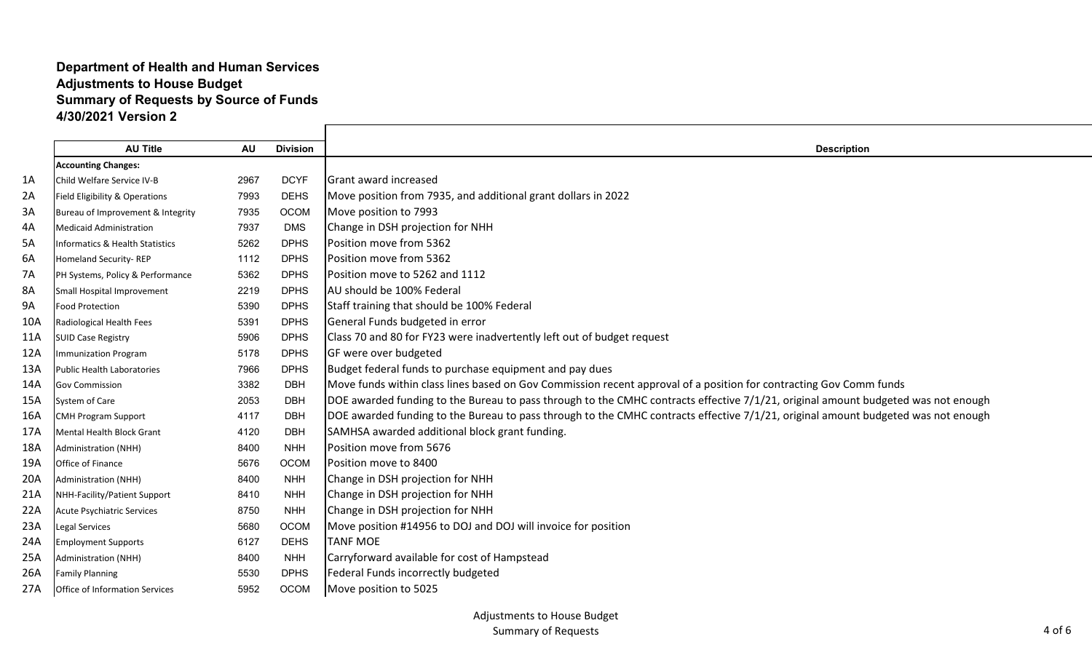## **Department of Health and Human Services Adjustments to House Budget Summary of Requests by Source of Funds 4/30/2021 Version 2**

|           | <b>AU Title</b>                   | <b>AU</b> | <b>Division</b> | <b>Description</b>                                                                                                                |
|-----------|-----------------------------------|-----------|-----------------|-----------------------------------------------------------------------------------------------------------------------------------|
|           | <b>Accounting Changes:</b>        |           |                 |                                                                                                                                   |
| 1A        | Child Welfare Service IV-B        | 2967      | <b>DCYF</b>     | <b>I</b> Grant award increased                                                                                                    |
| 2A        | Field Eligibility & Operations    | 7993      | <b>DEHS</b>     | Move position from 7935, and additional grant dollars in 2022                                                                     |
| 3A        | Bureau of Improvement & Integrity | 7935      | OCOM            | Move position to 7993                                                                                                             |
| 4A        | Medicaid Administration           | 7937      | <b>DMS</b>      | Change in DSH projection for NHH                                                                                                  |
| 5A        | Informatics & Health Statistics   | 5262      | <b>DPHS</b>     | Position move from 5362                                                                                                           |
| 6A        | Homeland Security-REP             | 1112      | <b>DPHS</b>     | Position move from 5362                                                                                                           |
| <b>7A</b> | PH Systems, Policy & Performance  | 5362      | <b>DPHS</b>     | Position move to 5262 and 1112                                                                                                    |
| <b>8A</b> | Small Hospital Improvement        | 2219      | <b>DPHS</b>     | AU should be 100% Federal                                                                                                         |
| <b>9A</b> | Food Protection                   | 5390      | <b>DPHS</b>     | Staff training that should be 100% Federal                                                                                        |
| 10A       | Radiological Health Fees          | 5391      | <b>DPHS</b>     | General Funds budgeted in error                                                                                                   |
| 11A       | <b>SUID Case Registry</b>         | 5906      | <b>DPHS</b>     | Class 70 and 80 for FY23 were inadvertently left out of budget request                                                            |
| 12A       | <b>Immunization Program</b>       | 5178      | <b>DPHS</b>     | GF were over budgeted                                                                                                             |
| 13A       | <b>Public Health Laboratories</b> | 7966      | <b>DPHS</b>     | Budget federal funds to purchase equipment and pay dues                                                                           |
| 14A       | <b>Gov Commission</b>             | 3382      | <b>DBH</b>      | Move funds within class lines based on Gov Commission recent approval of a position for contracting Gov Comm funds                |
| 15A       | System of Care                    | 2053      | <b>DBH</b>      | DOE awarded funding to the Bureau to pass through to the CMHC contracts effective 7/1/21, original amount budgeted was not enough |
| 16A       | <b>CMH Program Support</b>        | 4117      | <b>DBH</b>      | DOE awarded funding to the Bureau to pass through to the CMHC contracts effective 7/1/21, original amount budgeted was not enough |
| 17A       | Mental Health Block Grant         | 4120      | <b>DBH</b>      | SAMHSA awarded additional block grant funding.                                                                                    |
| 18A       | <b>Administration (NHH)</b>       | 8400      | <b>NHH</b>      | Position move from 5676                                                                                                           |
| 19A       | Office of Finance                 | 5676      | <b>OCOM</b>     | Position move to 8400                                                                                                             |
| 20A       | <b>Administration (NHH)</b>       | 8400      | <b>NHH</b>      | Change in DSH projection for NHH                                                                                                  |
| 21A       | NHH-Facility/Patient Support      | 8410      | <b>NHH</b>      | Change in DSH projection for NHH                                                                                                  |
| 22A       | <b>Acute Psychiatric Services</b> | 8750      | <b>NHH</b>      | Change in DSH projection for NHH                                                                                                  |
| 23A       | Legal Services                    | 5680      | OCOM            | Move position #14956 to DOJ and DOJ will invoice for position                                                                     |
| 24A       | <b>Employment Supports</b>        | 6127      | <b>DEHS</b>     | <b>TANF MOE</b>                                                                                                                   |
| 25A       | <b>Administration (NHH)</b>       | 8400      | <b>NHH</b>      | Carryforward available for cost of Hampstead                                                                                      |
| 26A       | <b>Family Planning</b>            | 5530      | <b>DPHS</b>     | Federal Funds incorrectly budgeted                                                                                                |
| 27A       | Office of Information Services    | 5952      | OCOM            | Move position to 5025                                                                                                             |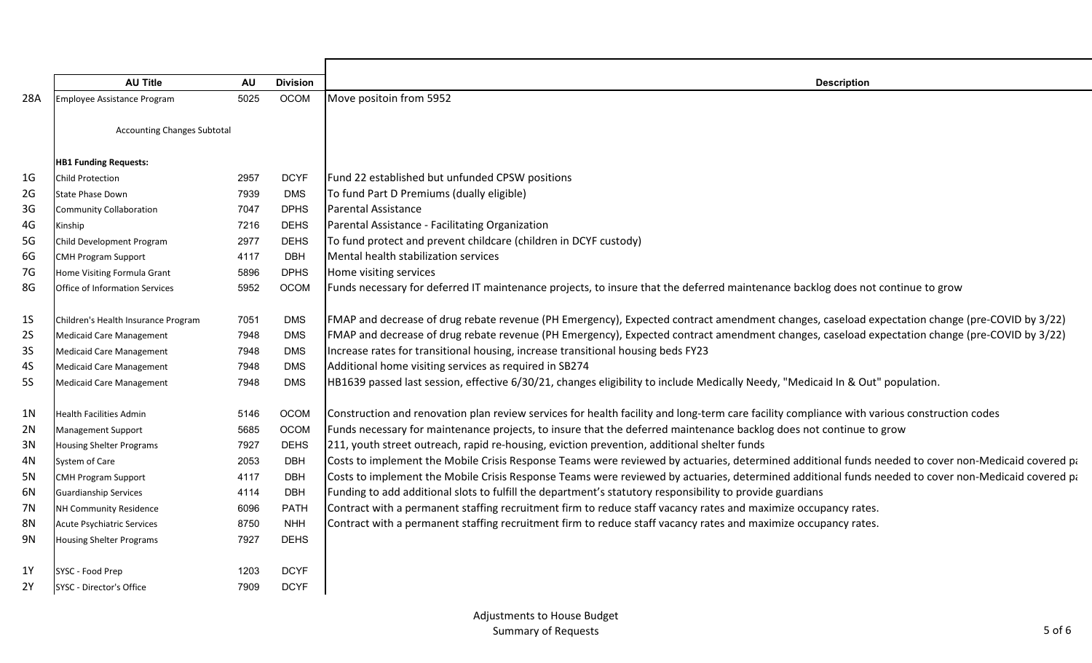| <b>AU Title</b>                     | <b>AU</b> | <b>Division</b>                    | <b>Description</b>                                                                                                                                         |
|-------------------------------------|-----------|------------------------------------|------------------------------------------------------------------------------------------------------------------------------------------------------------|
| <b>Employee Assistance Program</b>  | 5025      | OCOM                               | Move positoin from 5952                                                                                                                                    |
|                                     |           |                                    |                                                                                                                                                            |
|                                     |           |                                    |                                                                                                                                                            |
|                                     |           |                                    |                                                                                                                                                            |
| <b>HB1 Funding Requests:</b>        |           |                                    |                                                                                                                                                            |
| <b>Child Protection</b>             | 2957      | <b>DCYF</b>                        | Fund 22 established but unfunded CPSW positions                                                                                                            |
| <b>State Phase Down</b>             | 7939      | <b>DMS</b>                         | To fund Part D Premiums (dually eligible)                                                                                                                  |
| <b>Community Collaboration</b>      | 7047      | <b>DPHS</b>                        | Parental Assistance                                                                                                                                        |
| Kinship                             | 7216      | <b>DEHS</b>                        | Parental Assistance - Facilitating Organization                                                                                                            |
| Child Development Program           | 2977      | <b>DEHS</b>                        | To fund protect and prevent childcare (children in DCYF custody)                                                                                           |
| <b>CMH Program Support</b>          | 4117      | <b>DBH</b>                         | Mental health stabilization services                                                                                                                       |
| Home Visiting Formula Grant         | 5896      | <b>DPHS</b>                        | Home visiting services                                                                                                                                     |
| Office of Information Services      | 5952      | <b>OCOM</b>                        | Funds necessary for deferred IT maintenance projects, to insure that the deferred maintenance backlog does not continue to grow                            |
|                                     |           |                                    |                                                                                                                                                            |
| Children's Health Insurance Program | 7051      | <b>DMS</b>                         | FMAP and decrease of drug rebate revenue (PH Emergency), Expected contract amendment changes, caseload expectation change (pre-COVID by 3/22)              |
| <b>Medicaid Care Management</b>     | 7948      | <b>DMS</b>                         | FMAP and decrease of drug rebate revenue (PH Emergency), Expected contract amendment changes, caseload expectation change (pre-COVID by 3/22)              |
| <b>Medicaid Care Management</b>     | 7948      | <b>DMS</b>                         | Increase rates for transitional housing, increase transitional housing beds FY23                                                                           |
| <b>Medicaid Care Management</b>     | 7948      | <b>DMS</b>                         | Additional home visiting services as required in SB274                                                                                                     |
| <b>Medicaid Care Management</b>     | 7948      | <b>DMS</b>                         | HB1639 passed last session, effective 6/30/21, changes eligibility to include Medically Needy, "Medicaid In & Out" population.                             |
|                                     |           |                                    |                                                                                                                                                            |
| <b>Health Facilities Admin</b>      | 5146      | <b>OCOM</b>                        | Construction and renovation plan review services for health facility and long-term care facility compliance with various construction codes                |
| <b>Management Support</b>           | 5685      | <b>OCOM</b>                        | Funds necessary for maintenance projects, to insure that the deferred maintenance backlog does not continue to grow                                        |
| Housing Shelter Programs            | 7927      | <b>DEHS</b>                        | 211, youth street outreach, rapid re-housing, eviction prevention, additional shelter funds                                                                |
| System of Care                      | 2053      | <b>DBH</b>                         | Costs to implement the Mobile Crisis Response Teams were reviewed by actuaries, determined additional funds needed to cover non-Medicaid covered particles |
| <b>CMH Program Support</b>          | 4117      | <b>DBH</b>                         | Costs to implement the Mobile Crisis Response Teams were reviewed by actuaries, determined additional funds needed to cover non-Medicaid covered particles |
| <b>Guardianship Services</b>        | 4114      | <b>DBH</b>                         | Funding to add additional slots to fulfill the department's statutory responsibility to provide guardians                                                  |
| NH Community Residence              | 6096      | <b>PATH</b>                        | Contract with a permanent staffing recruitment firm to reduce staff vacancy rates and maximize occupancy rates.                                            |
| Acute Psychiatric Services          | 8750      | <b>NHH</b>                         | Contract with a permanent staffing recruitment firm to reduce staff vacancy rates and maximize occupancy rates.                                            |
| <b>Housing Shelter Programs</b>     | 7927      | <b>DEHS</b>                        |                                                                                                                                                            |
|                                     |           |                                    |                                                                                                                                                            |
| SYSC - Food Prep                    | 1203      | <b>DCYF</b>                        |                                                                                                                                                            |
| SYSC - Director's Office            | 7909      | <b>DCYF</b>                        |                                                                                                                                                            |
|                                     |           | <b>Accounting Changes Subtotal</b> |                                                                                                                                                            |